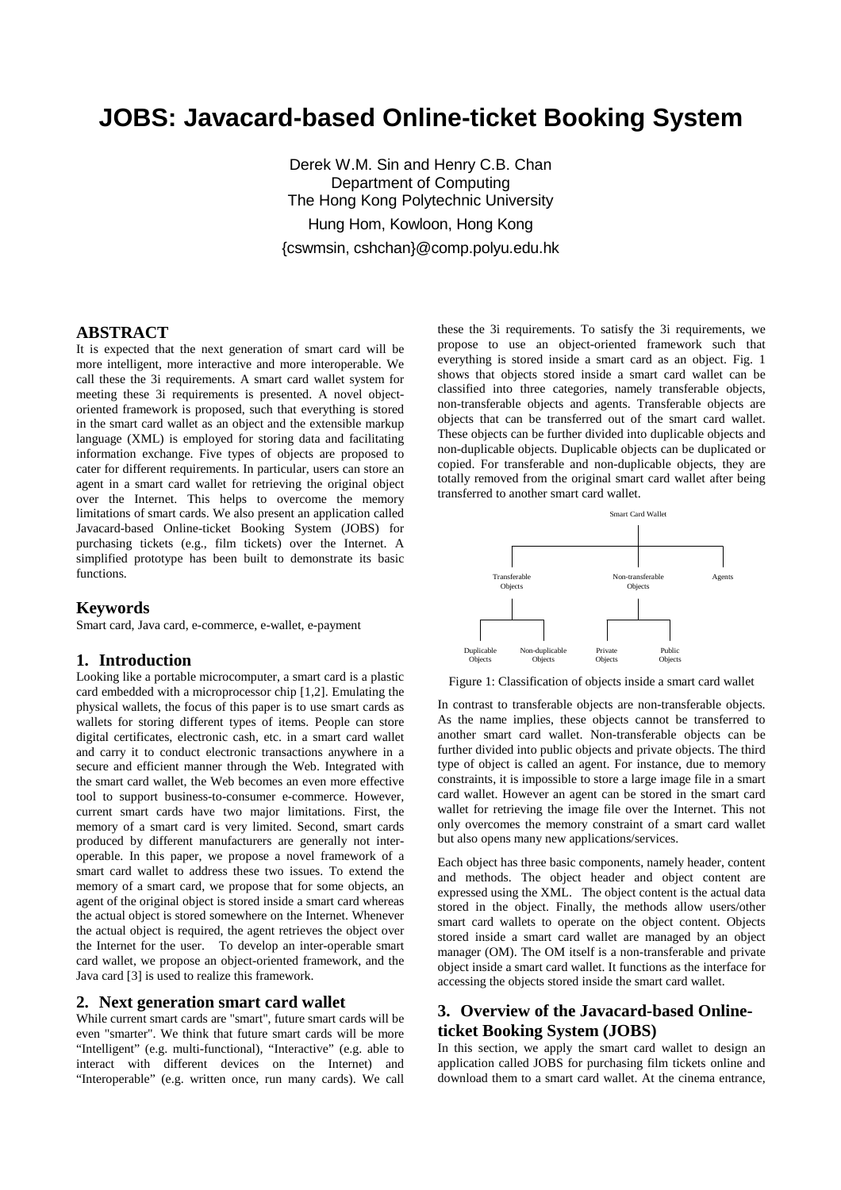# **JOBS: Javacard-based Online-ticket Booking System**

Derek W.M. Sin and Henry C.B. Chan Department of Computing The Hong Kong Polytechnic University Hung Hom, Kowloon, Hong Kong {cswmsin, cshchan}@comp.polyu.edu.hk

## **ABSTRACT**

It is expected that the next generation of smart card will be more intelligent, more interactive and more interoperable. We call these the 3i requirements. A smart card wallet system for meeting these 3i requirements is presented. A novel objectoriented framework is proposed, such that everything is stored in the smart card wallet as an object and the extensible markup language (XML) is employed for storing data and facilitating information exchange. Five types of objects are proposed to cater for different requirements. In particular, users can store an agent in a smart card wallet for retrieving the original object over the Internet. This helps to overcome the memory limitations of smart cards. We also present an application called Javacard-based Online-ticket Booking System (JOBS) for purchasing tickets (e.g., film tickets) over the Internet. A simplified prototype has been built to demonstrate its basic functions.

### **Keywords**

Smart card, Java card, e-commerce, e-wallet, e-payment

### **1. Introduction**

Looking like a portable microcomputer, a smart card is a plastic card embedded with a microprocessor chip [1,2]. Emulating the physical wallets, the focus of this paper is to use smart cards as wallets for storing different types of items. People can store digital certificates, electronic cash, etc. in a smart card wallet and carry it to conduct electronic transactions anywhere in a secure and efficient manner through the Web. Integrated with the smart card wallet, the Web becomes an even more effective tool to support business-to-consumer e-commerce. However, current smart cards have two major limitations. First, the memory of a smart card is very limited. Second, smart cards produced by different manufacturers are generally not interoperable. In this paper, we propose a novel framework of a smart card wallet to address these two issues. To extend the memory of a smart card, we propose that for some objects, an agent of the original object is stored inside a smart card whereas the actual object is stored somewhere on the Internet. Whenever the actual object is required, the agent retrieves the object over the Internet for the user. To develop an inter-operable smart card wallet, we propose an object-oriented framework, and the Java card [3] is used to realize this framework.

#### **2. Next generation smart card wallet**

While current smart cards are "smart", future smart cards will be even "smarter". We think that future smart cards will be more "Intelligent" (e.g. multi-functional), "Interactive" (e.g. able to interact with different devices on the Internet) and "Interoperable" (e.g. written once, run many cards). We call these the 3i requirements. To satisfy the 3i requirements, we propose to use an object-oriented framework such that everything is stored inside a smart card as an object. Fig. 1 shows that objects stored inside a smart card wallet can be classified into three categories, namely transferable objects, non-transferable objects and agents. Transferable objects are objects that can be transferred out of the smart card wallet. These objects can be further divided into duplicable objects and non-duplicable objects. Duplicable objects can be duplicated or copied. For transferable and non-duplicable objects, they are totally removed from the original smart card wallet after being transferred to another smart card wallet.



Figure 1: Classification of objects inside a smart card wallet

In contrast to transferable objects are non-transferable objects. As the name implies, these objects cannot be transferred to another smart card wallet. Non-transferable objects can be further divided into public objects and private objects. The third type of object is called an agent. For instance, due to memory constraints, it is impossible to store a large image file in a smart card wallet. However an agent can be stored in the smart card wallet for retrieving the image file over the Internet. This not only overcomes the memory constraint of a smart card wallet but also opens many new applications/services.

Each object has three basic components, namely header, content and methods. The object header and object content are expressed using the XML. The object content is the actual data stored in the object. Finally, the methods allow users/other smart card wallets to operate on the object content. Objects stored inside a smart card wallet are managed by an object manager (OM). The OM itself is a non-transferable and private object inside a smart card wallet. It functions as the interface for accessing the objects stored inside the smart card wallet.

# **3. Overview of the Javacard-based Onlineticket Booking System (JOBS)**

In this section, we apply the smart card wallet to design an application called JOBS for purchasing film tickets online and download them to a smart card wallet. At the cinema entrance,